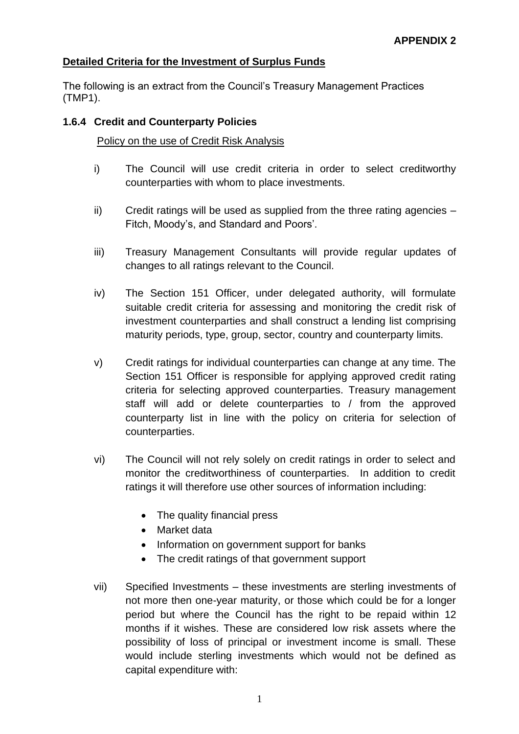## **Detailed Criteria for the Investment of Surplus Funds**

The following is an extract from the Council's Treasury Management Practices (TMP1).

### **1.6.4 Credit and Counterparty Policies**

### Policy on the use of Credit Risk Analysis

- i) The Council will use credit criteria in order to select creditworthy counterparties with whom to place investments.
- $\overline{ii}$  Credit ratings will be used as supplied from the three rating agencies  $-$ Fitch, Moody's, and Standard and Poors'.
- iii) Treasury Management Consultants will provide regular updates of changes to all ratings relevant to the Council.
- iv) The Section 151 Officer, under delegated authority, will formulate suitable credit criteria for assessing and monitoring the credit risk of investment counterparties and shall construct a lending list comprising maturity periods, type, group, sector, country and counterparty limits.
- v) Credit ratings for individual counterparties can change at any time. The Section 151 Officer is responsible for applying approved credit rating criteria for selecting approved counterparties. Treasury management staff will add or delete counterparties to / from the approved counterparty list in line with the policy on criteria for selection of counterparties.
- vi) The Council will not rely solely on credit ratings in order to select and monitor the creditworthiness of counterparties. In addition to credit ratings it will therefore use other sources of information including:
	- The quality financial press
	- Market data
	- Information on government support for banks
	- The credit ratings of that government support
- vii) Specified Investments these investments are sterling investments of not more then one-year maturity, or those which could be for a longer period but where the Council has the right to be repaid within 12 months if it wishes. These are considered low risk assets where the possibility of loss of principal or investment income is small. These would include sterling investments which would not be defined as capital expenditure with: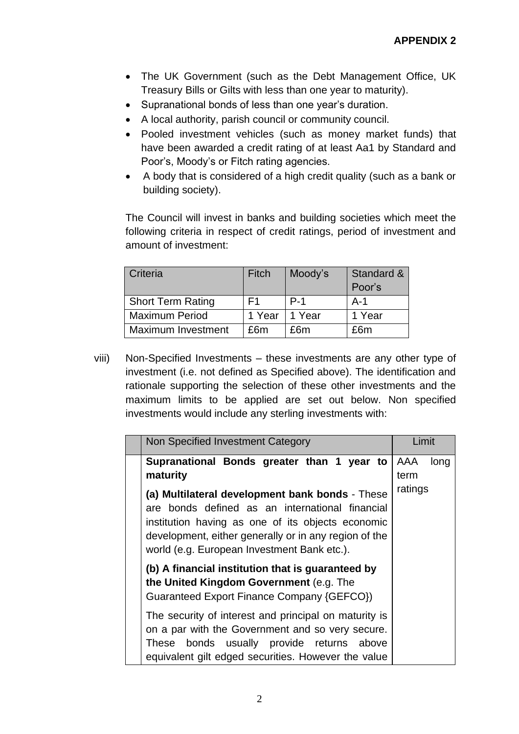- The UK Government (such as the Debt Management Office, UK Treasury Bills or Gilts with less than one year to maturity).
- Supranational bonds of less than one year's duration.
- A local authority, parish council or community council.
- Pooled investment vehicles (such as money market funds) that have been awarded a credit rating of at least Aa1 by Standard and Poor's, Moody's or Fitch rating agencies.
- A body that is considered of a high credit quality (such as a bank or building society).

The Council will invest in banks and building societies which meet the following criteria in respect of credit ratings, period of investment and amount of investment:

| Criteria                  | Fitch  | Moody's | Standard & |
|---------------------------|--------|---------|------------|
|                           |        |         | Poor's     |
| <b>Short Term Rating</b>  | F1     | $P-1$   | $A-1$      |
| <b>Maximum Period</b>     | 1 Year | 1 Year  | 1 Year     |
| <b>Maximum Investment</b> | £6m    | £6m     | £6m        |

viii) Non-Specified Investments – these investments are any other type of investment (i.e. not defined as Specified above). The identification and rationale supporting the selection of these other investments and the maximum limits to be applied are set out below. Non specified investments would include any sterling investments with:

| Non Specified Investment Category                                                                                                                                                                                                                               | Limit   |      |
|-----------------------------------------------------------------------------------------------------------------------------------------------------------------------------------------------------------------------------------------------------------------|---------|------|
| Supranational Bonds greater than 1 year to                                                                                                                                                                                                                      | AAA     | long |
| maturity                                                                                                                                                                                                                                                        | term    |      |
| (a) Multilateral development bank bonds - These<br>are bonds defined as an international financial<br>institution having as one of its objects economic<br>development, either generally or in any region of the<br>world (e.g. European Investment Bank etc.). | ratings |      |
| (b) A financial institution that is guaranteed by<br>the United Kingdom Government (e.g. The<br>Guaranteed Export Finance Company {GEFCO})                                                                                                                      |         |      |
| The security of interest and principal on maturity is<br>on a par with the Government and so very secure.<br>bonds usually provide returns above<br>These<br>equivalent gilt edged securities. However the value                                                |         |      |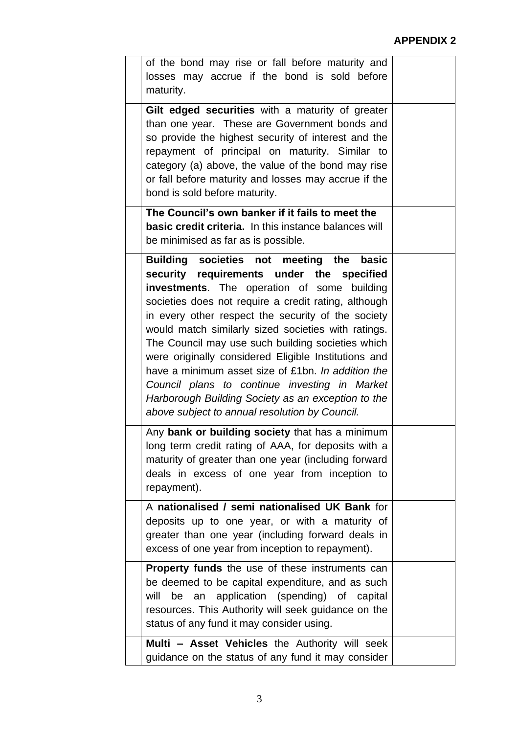# **APPENDIX 2**

| of the bond may rise or fall before maturity and<br>losses may accrue if the bond is sold before<br>maturity.                                                                                                                                                                                                                                                                                                                                                                                                                                                                                                                            |  |
|------------------------------------------------------------------------------------------------------------------------------------------------------------------------------------------------------------------------------------------------------------------------------------------------------------------------------------------------------------------------------------------------------------------------------------------------------------------------------------------------------------------------------------------------------------------------------------------------------------------------------------------|--|
| Gilt edged securities with a maturity of greater<br>than one year. These are Government bonds and<br>so provide the highest security of interest and the<br>repayment of principal on maturity. Similar to<br>category (a) above, the value of the bond may rise<br>or fall before maturity and losses may accrue if the<br>bond is sold before maturity.                                                                                                                                                                                                                                                                                |  |
| The Council's own banker if it fails to meet the<br>basic credit criteria. In this instance balances will<br>be minimised as far as is possible.                                                                                                                                                                                                                                                                                                                                                                                                                                                                                         |  |
| Building societies not meeting the<br>basic<br>security requirements under the specified<br>investments. The operation of some building<br>societies does not require a credit rating, although<br>in every other respect the security of the society<br>would match similarly sized societies with ratings.<br>The Council may use such building societies which<br>were originally considered Eligible Institutions and<br>have a minimum asset size of £1bn. In addition the<br>Council plans to continue investing in Market<br>Harborough Building Society as an exception to the<br>above subject to annual resolution by Council. |  |
| Any bank or building society that has a minimum<br>long term credit rating of AAA, for deposits with a<br>maturity of greater than one year (including forward<br>deals in excess of one year from inception to<br>repayment).                                                                                                                                                                                                                                                                                                                                                                                                           |  |
| A nationalised / semi nationalised UK Bank for<br>deposits up to one year, or with a maturity of<br>greater than one year (including forward deals in<br>excess of one year from inception to repayment).                                                                                                                                                                                                                                                                                                                                                                                                                                |  |
| <b>Property funds</b> the use of these instruments can<br>be deemed to be capital expenditure, and as such<br>will<br>application (spending) of capital<br>be<br>an<br>resources. This Authority will seek guidance on the<br>status of any fund it may consider using.                                                                                                                                                                                                                                                                                                                                                                  |  |
| Multi - Asset Vehicles the Authority will seek<br>guidance on the status of any fund it may consider                                                                                                                                                                                                                                                                                                                                                                                                                                                                                                                                     |  |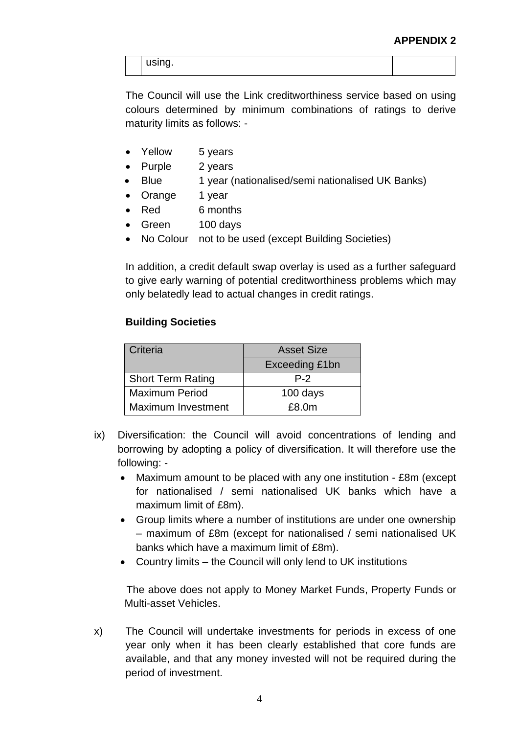using.

The Council will use the Link creditworthiness service based on using colours determined by minimum combinations of ratings to derive maturity limits as follows: -

- Yellow 5 years
- Purple 2 years
	- Blue 1 year (nationalised/semi nationalised UK Banks)
- Orange 1 year
- Red 6 months
- Green 100 days
- No Colour not to be used (except Building Societies)

In addition, a credit default swap overlay is used as a further safeguard to give early warning of potential creditworthiness problems which may only belatedly lead to actual changes in credit ratings.

#### **Building Societies**

| Criteria                  | <b>Asset Size</b> |
|---------------------------|-------------------|
|                           | Exceeding £1bn    |
| <b>Short Term Rating</b>  | $P-2$             |
| <b>Maximum Period</b>     | 100 days          |
| <b>Maximum Investment</b> | £8.0m             |

- ix) Diversification: the Council will avoid concentrations of lending and borrowing by adopting a policy of diversification. It will therefore use the following: -
	- Maximum amount to be placed with any one institution £8m (except for nationalised / semi nationalised UK banks which have a maximum limit of £8m).
	- Group limits where a number of institutions are under one ownership – maximum of £8m (except for nationalised / semi nationalised UK banks which have a maximum limit of £8m).
	- Country limits the Council will only lend to UK institutions

The above does not apply to Money Market Funds, Property Funds or Multi-asset Vehicles.

x) The Council will undertake investments for periods in excess of one year only when it has been clearly established that core funds are available, and that any money invested will not be required during the period of investment.